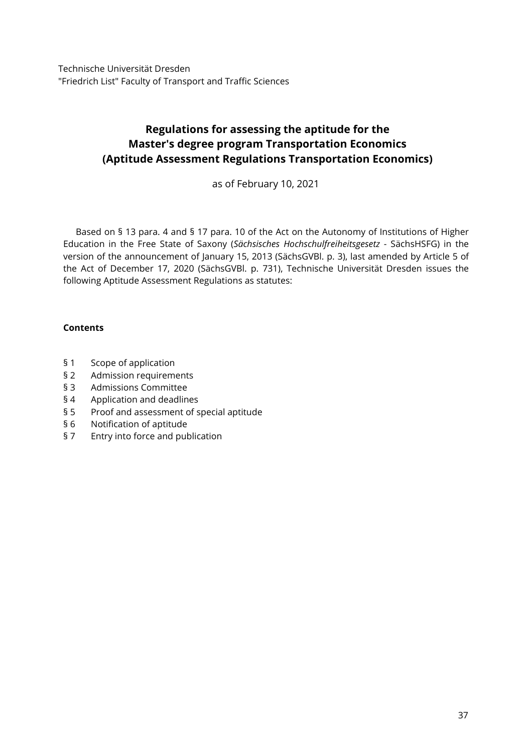Technische Universität Dresden "Friedrich List" Faculty of Transport and Traffic Sciences

# **Regulations for assessing the aptitude for the Master's degree program Transportation Economics (Aptitude Assessment Regulations Transportation Economics)**

as of February 10, 2021

Based on § 13 para. 4 and § 17 para. 10 of the Act on the Autonomy of Institutions of Higher Education in the Free State of Saxony (*Sächsisches Hochschulfreiheitsgesetz* - SächsHSFG) in the version of the announcement of January 15, 2013 (SächsGVBl. p. 3), last amended by Article 5 of the Act of December 17, 2020 (SächsGVBl. p. 731), Technische Universität Dresden issues the following Aptitude Assessment Regulations as statutes:

## **Contents**

- § 1 [Scope of application](#page-1-0)
- § 2 [Admission requirements](#page-1-1)
- § 3 [Admissions Committee](#page-1-2)
- § 4 [Application and deadlines](#page-1-3)
- § 5 [Proof and assessment of special aptitude](#page-2-0)
- § 6 [Notification of aptitude](#page-3-0)
- § 7 [Entry into force and publication](#page-3-1)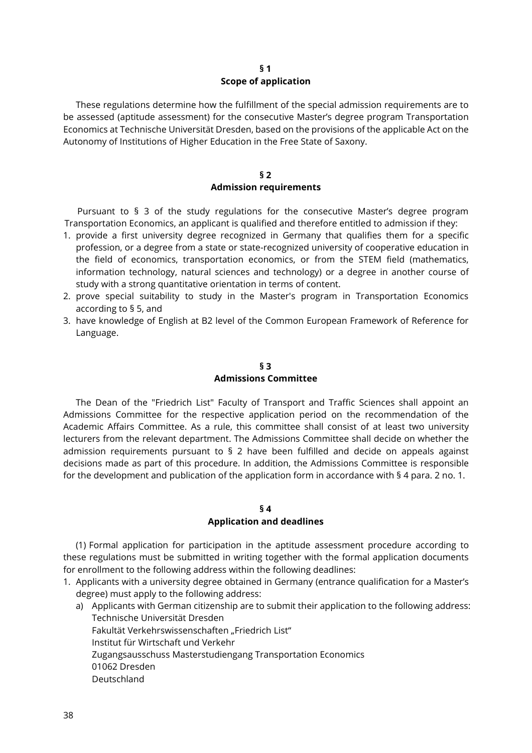#### **§ 1 Scope of application**

<span id="page-1-0"></span>These regulations determine how the fulfillment of the special admission requirements are to be assessed (aptitude assessment) for the consecutive Master's degree program Transportation Economics at Technische Universität Dresden, based on the provisions of the applicable Act on the Autonomy of Institutions of Higher Education in the Free State of Saxony.

#### <span id="page-1-1"></span>**§ 2 Admission requirements**

Pursuant to § 3 of the study regulations for the consecutive Master's degree program Transportation Economics, an applicant is qualified and therefore entitled to admission if they:

- 1. provide a first university degree recognized in Germany that qualifies them for a specific profession, or a degree from a state or state-recognized university of cooperative education in the field of economics, transportation economics, or from the STEM field (mathematics, information technology, natural sciences and technology) or a degree in another course of study with a strong quantitative orientation in terms of content.
- 2. prove special suitability to study in the Master's program in Transportation Economics according to § 5, and
- <span id="page-1-2"></span>3. have knowledge of English at B2 level of the Common European Framework of Reference for Language.

## **§ 3 Admissions Committee**

The Dean of the "Friedrich List" Faculty of Transport and Traffic Sciences shall appoint an Admissions Committee for the respective application period on the recommendation of the Academic Affairs Committee. As a rule, this committee shall consist of at least two university lecturers from the relevant department. The Admissions Committee shall decide on whether the admission requirements pursuant to § 2 have been fulfilled and decide on appeals against decisions made as part of this procedure. In addition, the Admissions Committee is responsible for the development and publication of the application form in accordance with § 4 para. 2 no. 1.

#### <span id="page-1-3"></span>**§ 4**

#### **Application and deadlines**

(1) Formal application for participation in the aptitude assessment procedure according to these regulations must be submitted in writing together with the formal application documents for enrollment to the following address within the following deadlines:

- 1. Applicants with a university degree obtained in Germany (entrance qualification for a Master's degree) must apply to the following address:
	- a) Applicants with German citizenship are to submit their application to the following address: Technische Universität Dresden Fakultät Verkehrswissenschaften "Friedrich List" Institut für Wirtschaft und Verkehr Zugangsausschuss Masterstudiengang Transportation Economics 01062 Dresden Deutschland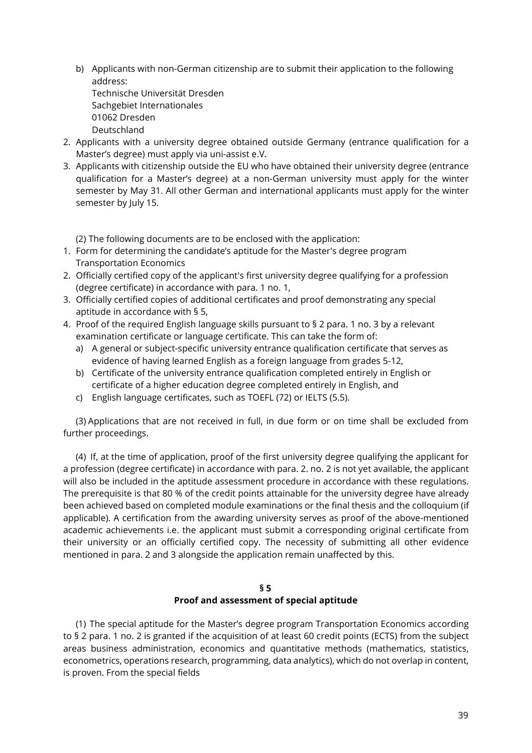b) Applicants with non-German citizenship are to submit their application to the following address:

Technische Universität Dresden Sachgebiet Internationales 01062 Dresden Deutschland

- 2. Applicants with a university degree obtained outside Germany (entrance qualification for a Master's degree) must apply via uni-assist e.V.
- 3. Applicants with citizenship outside the EU who have obtained their university degree (entrance qualification for a Master's degree) at a non-German university must apply for the winter semester by May 31. All other German and international applicants must apply for the winter semester by July 15.

(2) The following documents are to be enclosed with the application:

- 1. Form for determining the candidate's aptitude for the Master's degree program Transportation Economics
- 2. Officially certified copy of the applicant's first university degree qualifying for a profession (degree certificate) in accordance with para. 1 no. 1,
- 3. Officially certified copies of additional certificates and proof demonstrating any special aptitude in accordance with § 5,
- 4. Proof of the required English language skills pursuant to § 2 para. 1 no. 3 by a relevant examination certificate or language certificate. This can take the form of:
	- a) A general or subject-specific university entrance qualification certificate that serves as evidence of having learned English as a foreign language from grades 5-12,
	- b) Certificate of the university entrance qualification completed entirely in English or certificate of a higher education degree completed entirely in English, and
	- c) English language certificates, such as TOEFL (72) or IELTS (5.5).

(3) Applications that are not received in full, in due form or on time shall be excluded from further proceedings.

(4) If, at the time of application, proof of the first university degree qualifying the applicant for a profession (degree certificate) in accordance with para. 2. no. 2 is not yet available, the applicant will also be included in the aptitude assessment procedure in accordance with these regulations. The prerequisite is that 80 % of the credit points attainable for the university degree have already been achieved based on completed module examinations or the final thesis and the colloquium (if applicable). A certification from the awarding university serves as proof of the above-mentioned academic achievements i.e. the applicant must submit a corresponding original certificate from their university or an officially certified copy. The necessity of submitting all other evidence mentioned in para. 2 and 3 alongside the application remain unaffected by this.

#### <span id="page-2-0"></span>**§ 5 Proof and assessment of special aptitude**

(1) The special aptitude for the Master's degree program Transportation Economics according to § 2 para. 1 no. 2 is granted if the acquisition of at least 60 credit points (ECTS) from the subject areas business administration, economics and quantitative methods (mathematics, statistics, econometrics, operations research, programming, data analytics), which do not overlap in content, is proven. From the special fields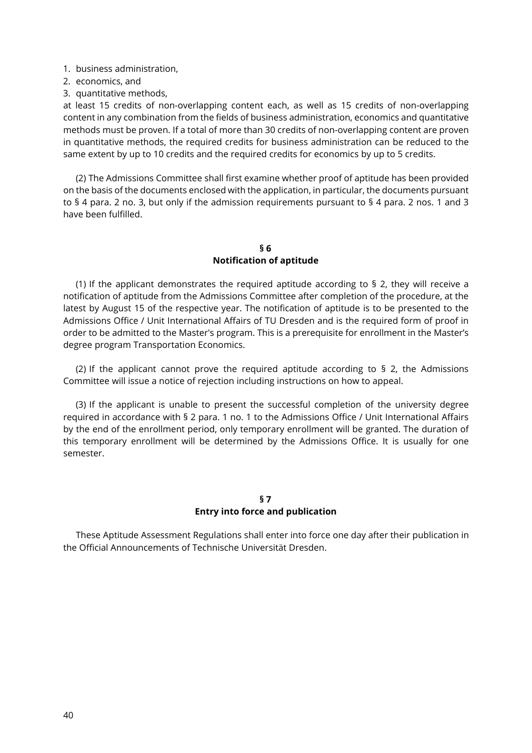- 1. business administration,
- 2. economics, and
- 3. quantitative methods,

at least 15 credits of non-overlapping content each, as well as 15 credits of non-overlapping content in any combination from the fields of business administration, economics and quantitative methods must be proven. If a total of more than 30 credits of non-overlapping content are proven in quantitative methods, the required credits for business administration can be reduced to the same extent by up to 10 credits and the required credits for economics by up to 5 credits.

<span id="page-3-0"></span>(2) The Admissions Committee shall first examine whether proof of aptitude has been provided on the basis of the documents enclosed with the application, in particular, the documents pursuant to § 4 para. 2 no. 3, but only if the admission requirements pursuant to § 4 para. 2 nos. 1 and 3 have been fulfilled.

### **§ 6 Notification of aptitude**

(1) If the applicant demonstrates the required aptitude according to  $\S$  2, they will receive a notification of aptitude from the Admissions Committee after completion of the procedure, at the latest by August 15 of the respective year. The notification of aptitude is to be presented to the Admissions Office / Unit International Affairs of TU Dresden and is the required form of proof in order to be admitted to the Master's program. This is a prerequisite for enrollment in the Master's degree program Transportation Economics.

(2) If the applicant cannot prove the required aptitude according to  $\frac{1}{2}$  and Admissions Committee will issue a notice of rejection including instructions on how to appeal.

<span id="page-3-1"></span>(3) If the applicant is unable to present the successful completion of the university degree required in accordance with § 2 para. 1 no. 1 to the Admissions Office / Unit International Affairs by the end of the enrollment period, only temporary enrollment will be granted. The duration of this temporary enrollment will be determined by the Admissions Office. It is usually for one semester.

## **§ 7 Entry into force and publication**

These Aptitude Assessment Regulations shall enter into force one day after their publication in the Official Announcements of Technische Universität Dresden.